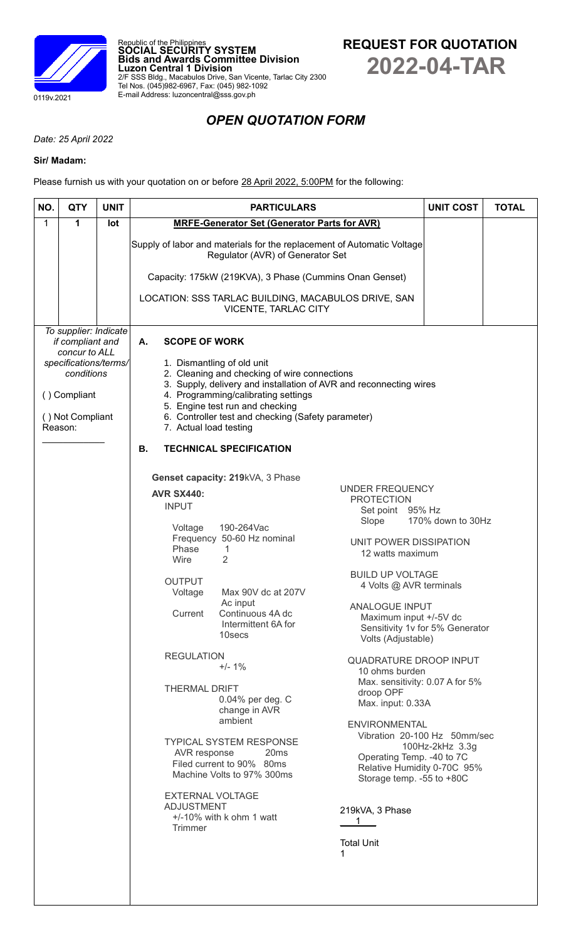

Republic of the Philippines **SOCIAL SECURITY SYSTEM Bids and Awards Committee Division Luzon Central 1 Division** 2/F SSS Bldg., Macabulos Drive, San Vicente, Tarlac City 2300 Tel Nos. (045)982-6967, Fax: (045) 982-1092 E-mail Address: luzoncentral@sss.gov.ph



# *OPEN QUOTATION FORM*

*Date: 25 April 2022*

## **Sir/ Madam:**

Please furnish us with your quotation on or before 28 April 2022, 5:00PM for the following:

| 1<br>$\mathbf 1$<br>lot<br><b>MRFE-Generator Set (Generator Parts for AVR)</b><br>Supply of labor and materials for the replacement of Automatic Voltage<br>Regulator (AVR) of Generator Set<br>Capacity: 175kW (219KVA), 3 Phase (Cummins Onan Genset)<br>LOCATION: SSS TARLAC BUILDING, MACABULOS DRIVE, SAN<br>VICENTE, TARLAC CITY<br>To supplier: Indicate<br>if compliant and<br>Α.<br><b>SCOPE OF WORK</b><br>concur to ALL<br>specifications/terms/<br>1. Dismantling of old unit<br>2. Cleaning and checking of wire connections<br>conditions<br>3. Supply, delivery and installation of AVR and reconnecting wires<br>4. Programming/calibrating settings<br>() Compliant<br>5. Engine test run and checking<br>6. Controller test and checking (Safety parameter)<br>() Not Compliant<br>Reason:<br>7. Actual load testing<br><b>B.</b><br><b>TECHNICAL SPECIFICATION</b><br>Genset capacity: 219kVA, 3 Phase<br><b>UNDER FREQUENCY</b><br><b>AVR SX440:</b><br><b>PROTECTION</b><br><b>INPUT</b><br>Set point 95% Hz<br>170% down to 30Hz<br>Slope<br>190-264Vac<br>Voltage<br>Frequency 50-60 Hz nominal<br>UNIT POWER DISSIPATION<br>Phase<br>1<br>12 watts maximum<br>Wire<br>$\overline{2}$<br><b>BUILD UP VOLTAGE</b><br><b>OUTPUT</b><br>4 Volts @ AVR terminals<br>Max 90V dc at 207V<br>Voltage | NO.<br><b>QTY</b> | <b>UNIT COST</b><br><b>TOTAL</b> |
|----------------------------------------------------------------------------------------------------------------------------------------------------------------------------------------------------------------------------------------------------------------------------------------------------------------------------------------------------------------------------------------------------------------------------------------------------------------------------------------------------------------------------------------------------------------------------------------------------------------------------------------------------------------------------------------------------------------------------------------------------------------------------------------------------------------------------------------------------------------------------------------------------------------------------------------------------------------------------------------------------------------------------------------------------------------------------------------------------------------------------------------------------------------------------------------------------------------------------------------------------------------------------------------------------------------------|-------------------|----------------------------------|
|                                                                                                                                                                                                                                                                                                                                                                                                                                                                                                                                                                                                                                                                                                                                                                                                                                                                                                                                                                                                                                                                                                                                                                                                                                                                                                                      |                   |                                  |
|                                                                                                                                                                                                                                                                                                                                                                                                                                                                                                                                                                                                                                                                                                                                                                                                                                                                                                                                                                                                                                                                                                                                                                                                                                                                                                                      |                   |                                  |
|                                                                                                                                                                                                                                                                                                                                                                                                                                                                                                                                                                                                                                                                                                                                                                                                                                                                                                                                                                                                                                                                                                                                                                                                                                                                                                                      |                   |                                  |
|                                                                                                                                                                                                                                                                                                                                                                                                                                                                                                                                                                                                                                                                                                                                                                                                                                                                                                                                                                                                                                                                                                                                                                                                                                                                                                                      |                   |                                  |
| Ac input<br><b>ANALOGUE INPUT</b><br>Current<br>Continuous 4A dc<br>Maximum input +/-5V dc<br>Intermittent 6A for<br>Sensitivity 1v for 5% Generator<br>10secs<br>Volts (Adjustable)<br><b>REGULATION</b><br>QUADRATURE DROOP INPUT<br>$+/- 1%$<br>10 ohms burden<br>Max. sensitivity: 0.07 A for 5%<br><b>THERMAL DRIFT</b><br>droop OPF<br>0.04% per deg. C<br>Max. input: 0.33A<br>change in AVR<br>ambient<br><b>ENVIRONMENTAL</b><br>Vibration 20-100 Hz 50mm/sec<br><b>TYPICAL SYSTEM RESPONSE</b><br>100Hz-2kHz 3.3g<br>AVR response<br>20 <sub>ms</sub><br>Operating Temp. - 40 to 7C<br>Filed current to 90% 80ms<br>Relative Humidity 0-70C 95%<br>Machine Volts to 97% 300ms<br>Storage temp. - 55 to +80C<br><b>EXTERNAL VOLTAGE</b><br><b>ADJUSTMENT</b><br>219kVA, 3 Phase<br>$+/-10\%$ with k ohm 1 watt<br>1<br><b>Trimmer</b><br><b>Total Unit</b><br>1                                                                                                                                                                                                                                                                                                                                                                                                                                             |                   |                                  |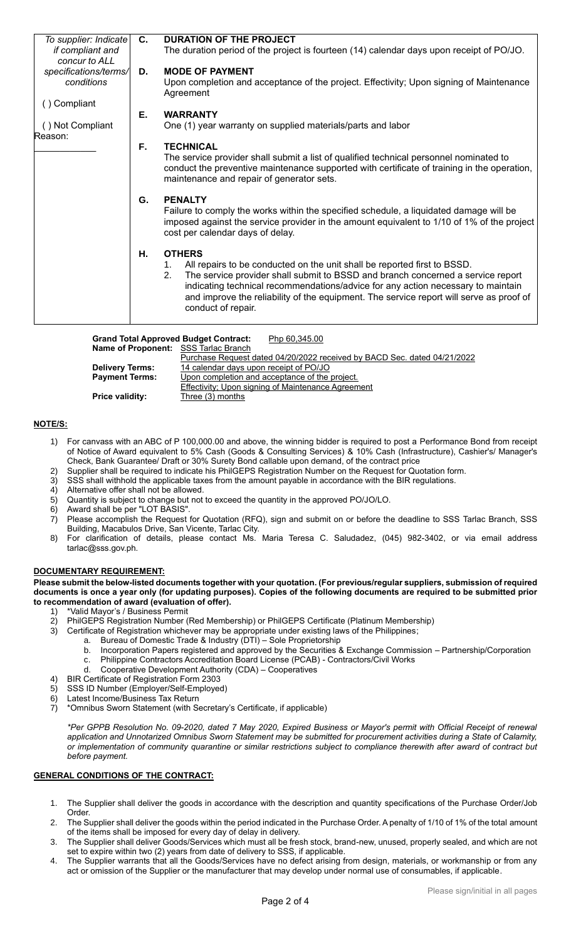| To supplier: Indicate | C. | <b>DURATION OF THE PROJECT</b>                                                                                                                                                                                                             |
|-----------------------|----|--------------------------------------------------------------------------------------------------------------------------------------------------------------------------------------------------------------------------------------------|
| if compliant and      |    | The duration period of the project is fourteen (14) calendar days upon receipt of PO/JO.                                                                                                                                                   |
| concur to ALL         |    |                                                                                                                                                                                                                                            |
| specifications/terms/ | D. | <b>MODE OF PAYMENT</b>                                                                                                                                                                                                                     |
| conditions            |    | Upon completion and acceptance of the project. Effectivity; Upon signing of Maintenance<br>Agreement                                                                                                                                       |
| () Compliant          |    |                                                                                                                                                                                                                                            |
|                       | Е. | <b>WARRANTY</b>                                                                                                                                                                                                                            |
| () Not Compliant      |    | One (1) year warranty on supplied materials/parts and labor                                                                                                                                                                                |
| Reason:               |    |                                                                                                                                                                                                                                            |
|                       | F. | <b>TECHNICAL</b>                                                                                                                                                                                                                           |
|                       |    | The service provider shall submit a list of qualified technical personnel nominated to<br>conduct the preventive maintenance supported with certificate of training in the operation,<br>maintenance and repair of generator sets.         |
|                       | G. | <b>PENALTY</b><br>Failure to comply the works within the specified schedule, a liquidated damage will be<br>imposed against the service provider in the amount equivalent to 1/10 of 1% of the project<br>cost per calendar days of delay. |
|                       | Н. | <b>OTHERS</b>                                                                                                                                                                                                                              |
|                       |    | All repairs to be conducted on the unit shall be reported first to BSSD.<br>1.                                                                                                                                                             |
|                       |    | The service provider shall submit to BSSD and branch concerned a service report<br>2.                                                                                                                                                      |
|                       |    | indicating technical recommendations/advice for any action necessary to maintain<br>and improve the reliability of the equipment. The service report will serve as proof of<br>conduct of repair.                                          |
|                       |    |                                                                                                                                                                                                                                            |

| <b>Grand Total Approved Budget Contract:</b><br>Php 60,345.00 |                                                                          |  |  |  |
|---------------------------------------------------------------|--------------------------------------------------------------------------|--|--|--|
| Name of Proponent: SSS Tarlac Branch                          |                                                                          |  |  |  |
|                                                               | Purchase Request dated 04/20/2022 received by BACD Sec. dated 04/21/2022 |  |  |  |
| <b>Delivery Terms:</b>                                        | 14 calendar days upon receipt of PO/JO                                   |  |  |  |
| <b>Payment Terms:</b>                                         | Upon completion and acceptance of the project.                           |  |  |  |
|                                                               | Effectivity; Upon signing of Maintenance Agreement                       |  |  |  |
| <b>Price validity:</b>                                        | Three (3) months                                                         |  |  |  |

## **NOTE/S:**

- 1) For canvass with an ABC of P 100,000.00 and above, the winning bidder is required to post a Performance Bond from receipt of Notice of Award equivalent to 5% Cash (Goods & Consulting Services) & 10% Cash (Infrastructure), Cashier's/ Manager's Check, Bank Guarantee/ Draft or 30% Surety Bond callable upon demand, of the contract price
- 2) Supplier shall be required to indicate his PhilGEPS Registration Number on the Request for Quotation form.<br>3) SSS shall withhold the applicable taxes from the amount payable in accordance with the BIR requlations.
- SSS shall withhold the applicable taxes from the amount payable in accordance with the BIR regulations.
- 4) Alternative offer shall not be allowed.
- 5) Quantity is subject to change but not to exceed the quantity in the approved PO/JO/LO.
- 6) Award shall be per "LOT BASIS".
- 7) Please accomplish the Request for Quotation (RFQ), sign and submit on or before the deadline to SSS Tarlac Branch, SSS Building, Macabulos Drive, San Vicente, Tarlac City.
- 8) For clarification of details, please contact Ms. Maria Teresa C. Saludadez, (045) 982-3402, or via email address tarlac@sss.gov.ph.

#### **DOCUMENTARY REQUIREMENT:**

**Please submit the below-listed documents together with your quotation. (For previous/regular suppliers, submission of required documents is once a year only (for updating purposes). Copies of the following documents are required to be submitted prior to recommendation of award (evaluation of offer).**

- 1) \*Valid Mayor's / Business Permit<br>2) PhilGEPS Registration Number (I
- 2) PhilGEPS Registration Number (Red Membership) or PhilGEPS Certificate (Platinum Membership)
- 3) Certificate of Registration whichever may be appropriate under existing laws of the Philippines;
	- a. Bureau of Domestic Trade & Industry (DTI) Sole Proprietorship
		- b. Incorporation Papers registered and approved by the Securities & Exchange Commission Partnership/Corporation
		- c. Philippine Contractors Accreditation Board License (PCAB) Contractors/Civil Works
		- d. Cooperative Development Authority (CDA) Cooperatives
- 4) BIR Certificate of Registration Form 2303
- 5) SSS ID Number (Employer/Self-Employed)
- 6) Latest Income/Business Tax Return<br>7) \*Omnibus Sworn Statement (with Se
- 7) \*Omnibus Sworn Statement (with Secretary's Certificate, if applicable)

*\*Per GPPB Resolution No. 09-2020, dated 7 May 2020, Expired Business or Mayor's permit with Official Receipt of renewal application and Unnotarized Omnibus Sworn Statement may be submitted for procurement activities during a State of Calamity, or implementation of community quarantine or similar restrictions subject to compliance therewith after award of contract but before payment.*

## **GENERAL CONDITIONS OF THE CONTRACT:**

- 1. The Supplier shall deliver the goods in accordance with the description and quantity specifications of the Purchase Order/Job Order.
- 2. The Supplier shall deliver the goods within the period indicated in the Purchase Order. A penalty of 1/10 of 1% of the total amount of the items shall be imposed for every day of delay in delivery.
- 3. The Supplier shall deliver Goods/Services which must all be fresh stock, brand-new, unused, properly sealed, and which are not set to expire within two (2) years from date of delivery to SSS, if applicable.
- 4. The Supplier warrants that all the Goods/Services have no defect arising from design, materials, or workmanship or from any act or omission of the Supplier or the manufacturer that may develop under normal use of consumables, if applicable.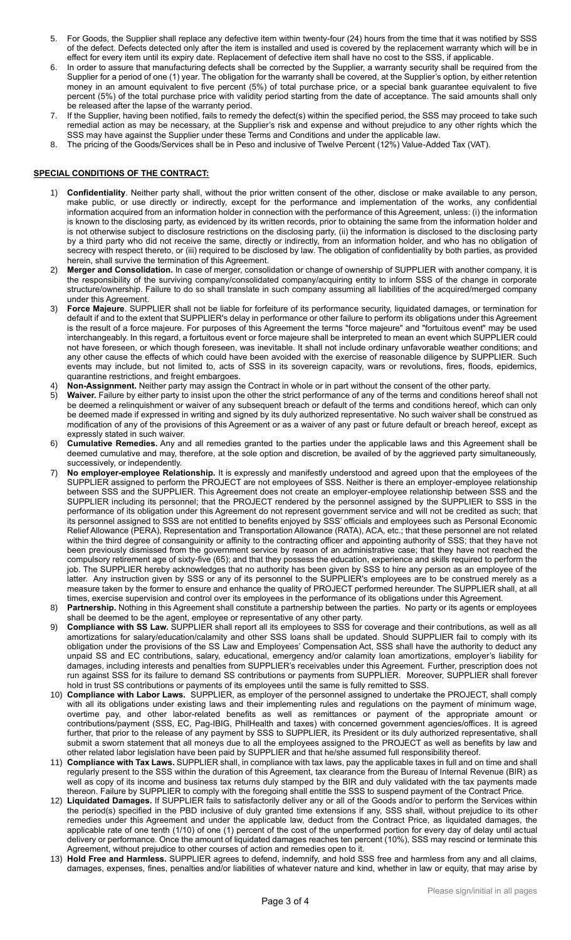- 5. For Goods, the Supplier shall replace any defective item within twenty-four (24) hours from the time that it was notified by SSS of the defect. Defects detected only after the item is installed and used is covered by the replacement warranty which will be in effect for every item until its expiry date. Replacement of defective item shall have no cost to the SSS, if applicable.
- 6. In order to assure that manufacturing defects shall be corrected by the Supplier, a warranty security shall be required from the Supplier for a period of one (1) year. The obligation for the warranty shall be covered, at the Supplier's option, by either retention money in an amount equivalent to five percent (5%) of total purchase price, or a special bank guarantee equivalent to five percent (5%) of the total purchase price with validity period starting from the date of acceptance. The said amounts shall only be released after the lapse of the warranty period.
- If the Supplier, having been notified, fails to remedy the defect(s) within the specified period, the SSS may proceed to take such remedial action as may be necessary, at the Supplier's risk and expense and without prejudice to any other rights which the SSS may have against the Supplier under these Terms and Conditions and under the applicable law.
- 8. The pricing of the Goods/Services shall be in Peso and inclusive of Twelve Percent (12%) Value-Added Tax (VAT).

## **SPECIAL CONDITIONS OF THE CONTRACT:**

- 1) **Confidentiality**. Neither party shall, without the prior written consent of the other, disclose or make available to any person, make public, or use directly or indirectly, except for the performance and implementation of the works, any confidential information acquired from an information holder in connection with the performance of this Agreement, unless: (i) the information is known to the disclosing party, as evidenced by its written records, prior to obtaining the same from the information holder and is not otherwise subject to disclosure restrictions on the disclosing party, (ii) the information is disclosed to the disclosing party by a third party who did not receive the same, directly or indirectly, from an information holder, and who has no obligation of secrecy with respect thereto, or (iii) required to be disclosed by law. The obligation of confidentiality by both parties, as provided herein, shall survive the termination of this Agreement.
- 2) **Merger and Consolidation.** In case of merger, consolidation or change of ownership of SUPPLIER with another company, it is the responsibility of the surviving company/consolidated company/acquiring entity to inform SSS of the change in corporate structure/ownership. Failure to do so shall translate in such company assuming all liabilities of the acquired/merged company under this Agreement.
- 3) **Force Majeure**. SUPPLIER shall not be liable for forfeiture of its performance security, liquidated damages, or termination for default if and to the extent that SUPPLIER's delay in performance or other failure to perform its obligations under this Agreement is the result of a force majeure. For purposes of this Agreement the terms "force majeure" and "fortuitous event" may be used interchangeably. In this regard, a fortuitous event or force majeure shall be interpreted to mean an event which SUPPLIER could not have foreseen, or which though foreseen, was inevitable. It shall not include ordinary unfavorable weather conditions; and any other cause the effects of which could have been avoided with the exercise of reasonable diligence by SUPPLIER. Such events may include, but not limited to, acts of SSS in its sovereign capacity, wars or revolutions, fires, floods, epidemics, quarantine restrictions, and freight embargoes.
- 4) **Non-Assignment.** Neither party may assign the Contract in whole or in part without the consent of the other party.<br>5) Waiver. Failure by either party to insist upon the other the strict performance of any of the terms
- 5) **Waiver.** Failure by either party to insist upon the other the strict performance of any of the terms and conditions hereof shall not be deemed a relinquishment or waiver of any subsequent breach or default of the terms and conditions hereof, which can only be deemed made if expressed in writing and signed by its duly authorized representative. No such waiver shall be construed as modification of any of the provisions of this Agreement or as a waiver of any past or future default or breach hereof, except as expressly stated in such waiver.
- 6) **Cumulative Remedies.** Any and all remedies granted to the parties under the applicable laws and this Agreement shall be deemed cumulative and may, therefore, at the sole option and discretion, be availed of by the aggrieved party simultaneously, successively, or independently.
- 7) **No employer-employee Relationship.** It is expressly and manifestly understood and agreed upon that the employees of the SUPPLIER assigned to perform the PROJECT are not employees of SSS. Neither is there an employer-employee relationship between SSS and the SUPPLIER. This Agreement does not create an employer-employee relationship between SSS and the SUPPLIER including its personnel; that the PROJECT rendered by the personnel assigned by the SUPPLIER to SSS in the performance of its obligation under this Agreement do not represent government service and will not be credited as such; that its personnel assigned to SSS are not entitled to benefits enjoyed by SSS' officials and employees such as Personal Economic Relief Allowance (PERA), Representation and Transportation Allowance (RATA), ACA, etc.; that these personnel are not related within the third degree of consanguinity or affinity to the contracting officer and appointing authority of SSS; that they have not been previously dismissed from the government service by reason of an administrative case; that they have not reached the compulsory retirement age of sixty-five (65); and that they possess the education, experience and skills required to perform the job. The SUPPLIER hereby acknowledges that no authority has been given by SSS to hire any person as an employee of the latter. Any instruction given by SSS or any of its personnel to the SUPPLIER's employees are to be construed merely as a measure taken by the former to ensure and enhance the quality of PROJECT performed hereunder. The SUPPLIER shall, at all times, exercise supervision and control over its employees in the performance of its obligations under this Agreement.
- 8) **Partnership.** Nothing in this Agreement shall constitute a partnership between the parties. No party or its agents or employees shall be deemed to be the agent, employee or representative of any other party.
- 9) **Compliance with SS Law.** SUPPLIER shall report all its employees to SSS for coverage and their contributions, as well as all amortizations for salary/education/calamity and other SSS loans shall be updated. Should SUPPLIER fail to comply with its obligation under the provisions of the SS Law and Employees' Compensation Act, SSS shall have the authority to deduct any unpaid SS and EC contributions, salary, educational, emergency and/or calamity loan amortizations, employer's liability for damages, including interests and penalties from SUPPLIER's receivables under this Agreement. Further, prescription does not run against SSS for its failure to demand SS contributions or payments from SUPPLIER. Moreover, SUPPLIER shall forever hold in trust SS contributions or payments of its employees until the same is fully remitted to SSS.
- 10) **Compliance with Labor Laws.** SUPPLIER, as employer of the personnel assigned to undertake the PROJECT, shall comply with all its obligations under existing laws and their implementing rules and regulations on the payment of minimum wage, overtime pay, and other labor-related benefits as well as remittances or payment of the appropriate amount or contributions/payment (SSS, EC, Pag-IBIG, PhilHealth and taxes) with concerned government agencies/offices. It is agreed further, that prior to the release of any payment by SSS to SUPPLIER, its President or its duly authorized representative, shall submit a sworn statement that all moneys due to all the employees assigned to the PROJECT as well as benefits by law and other related labor legislation have been paid by SUPPLIER and that he/she assumed full responsibility thereof.
- 11) **Compliance with Tax Laws.** SUPPLIER shall, in compliance with tax laws, pay the applicable taxes in full and on time and shall regularly present to the SSS within the duration of this Agreement, tax clearance from the Bureau of Internal Revenue (BIR) as well as copy of its income and business tax returns duly stamped by the BIR and duly validated with the tax payments made thereon. Failure by SUPPLIER to comply with the foregoing shall entitle the SSS to suspend payment of the Contract Price.
- 12) **Liquidated Damages.** If SUPPLIER fails to satisfactorily deliver any or all of the Goods and/or to perform the Services within the period(s) specified in the PBD inclusive of duly granted time extensions if any, SSS shall, without prejudice to its other remedies under this Agreement and under the applicable law, deduct from the Contract Price, as liquidated damages, the applicable rate of one tenth (1/10) of one (1) percent of the cost of the unperformed portion for every day of delay until actual delivery or performance. Once the amount of liquidated damages reaches ten percent (10%), SSS may rescind or terminate this Agreement, without prejudice to other courses of action and remedies open to it.
- 13) **Hold Free and Harmless.** SUPPLIER agrees to defend, indemnify, and hold SSS free and harmless from any and all claims, damages, expenses, fines, penalties and/or liabilities of whatever nature and kind, whether in law or equity, that may arise by